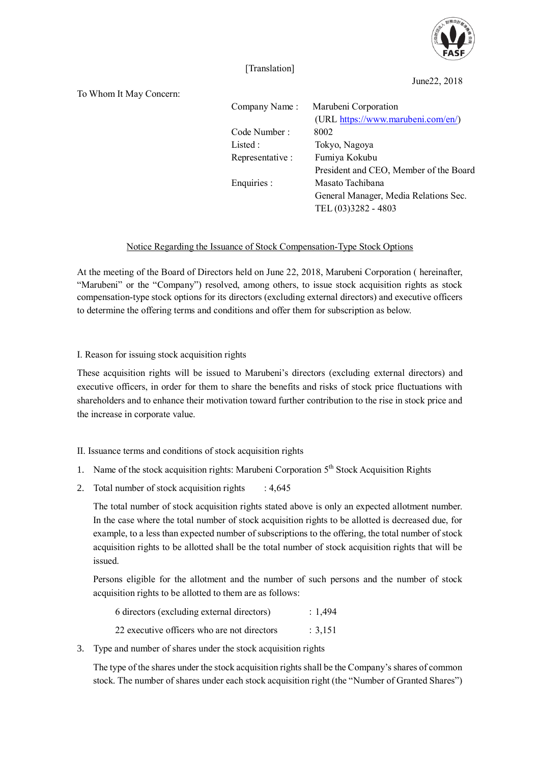

# [Translation]

June22, 2018

# To Whom It May Concern:

| Company Name:    | Marubeni Corporation                   |
|------------------|----------------------------------------|
|                  | (URL https://www.marubeni.com/en/)     |
| Code Number:     | 8002                                   |
| Listed :         | Tokyo, Nagoya                          |
| Representative : | Fumiya Kokubu                          |
|                  | President and CEO, Member of the Board |
| Enquiries :      | Masato Tachibana                       |
|                  | General Manager, Media Relations Sec.  |
|                  | TEL (03)3282 - 4803                    |

# Notice Regarding the Issuance of Stock Compensation-Type Stock Options

At the meeting of the Board of Directors held on June 22, 2018, Marubeni Corporation ( hereinafter, "Marubeni" or the "Company") resolved, among others, to issue stock acquisition rights as stock compensation-type stock options for its directors (excluding external directors) and executive officers to determine the offering terms and conditions and offer them for subscription as below.

# I. Reason for issuing stock acquisition rights

These acquisition rights will be issued to Marubeni's directors (excluding external directors) and executive officers, in order for them to share the benefits and risks of stock price fluctuations with shareholders and to enhance their motivation toward further contribution to the rise in stock price and the increase in corporate value.

### II. Issuance terms and conditions of stock acquisition rights

- 1. Name of the stock acquisition rights: Marubeni Corporation 5<sup>th</sup> Stock Acquisition Rights
- 2. Total number of stock acquisition rights  $: 4,645$

The total number of stock acquisition rights stated above is only an expected allotment number. In the case where the total number of stock acquisition rights to be allotted is decreased due, for example, to a less than expected number of subscriptions to the offering, the total number of stock acquisition rights to be allotted shall be the total number of stock acquisition rights that will be issued.

Persons eligible for the allotment and the number of such persons and the number of stock acquisition rights to be allotted to them are as follows:

| 6 directors (excluding external directors)  | : 1,494 |
|---------------------------------------------|---------|
| 22 executive officers who are not directors | : 3,151 |

3. Type and number of shares under the stock acquisition rights

The type of the shares under the stock acquisition rights shall be the Company's shares of common stock. The number of shares under each stock acquisition right (the "Number of Granted Shares")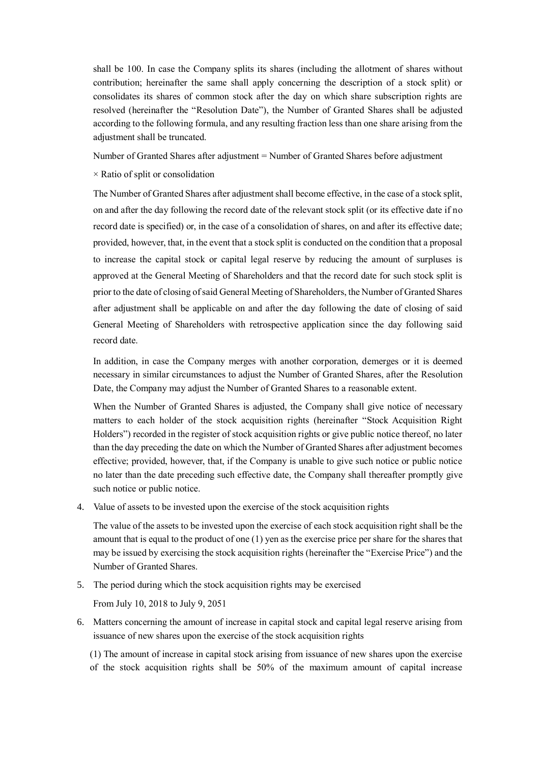shall be 100. In case the Company splits its shares (including the allotment of shares without contribution; hereinafter the same shall apply concerning the description of a stock split) or consolidates its shares of common stock after the day on which share subscription rights are resolved (hereinafter the "Resolution Date"), the Number of Granted Shares shall be adjusted according to the following formula, and any resulting fraction less than one share arising from the adjustment shall be truncated.

Number of Granted Shares after adjustment = Number of Granted Shares before adjustment

× Ratio of split or consolidation

The Number of Granted Shares after adjustment shall become effective, in the case of a stock split, on and after the day following the record date of the relevant stock split (or its effective date if no record date is specified) or, in the case of a consolidation of shares, on and after its effective date; provided, however, that, in the event that a stock split is conducted on the condition that a proposal to increase the capital stock or capital legal reserve by reducing the amount of surpluses is approved at the General Meeting of Shareholders and that the record date for such stock split is prior to the date of closing of said General Meeting of Shareholders, the Number of Granted Shares after adjustment shall be applicable on and after the day following the date of closing of said General Meeting of Shareholders with retrospective application since the day following said record date.

In addition, in case the Company merges with another corporation, demerges or it is deemed necessary in similar circumstances to adjust the Number of Granted Shares, after the Resolution Date, the Company may adjust the Number of Granted Shares to a reasonable extent.

When the Number of Granted Shares is adjusted, the Company shall give notice of necessary matters to each holder of the stock acquisition rights (hereinafter "Stock Acquisition Right Holders") recorded in the register of stock acquisition rights or give public notice thereof, no later than the day preceding the date on which the Number of Granted Shares after adjustment becomes effective; provided, however, that, if the Company is unable to give such notice or public notice no later than the date preceding such effective date, the Company shall thereafter promptly give such notice or public notice.

4. Value of assets to be invested upon the exercise of the stock acquisition rights

The value of the assets to be invested upon the exercise of each stock acquisition right shall be the amount that is equal to the product of one (1) yen as the exercise price per share for the shares that may be issued by exercising the stock acquisition rights (hereinafter the "Exercise Price") and the Number of Granted Shares.

5. The period during which the stock acquisition rights may be exercised

From July 10, 2018 to July 9, 2051

6. Matters concerning the amount of increase in capital stock and capital legal reserve arising from issuance of new shares upon the exercise of the stock acquisition rights

(1) The amount of increase in capital stock arising from issuance of new shares upon the exercise of the stock acquisition rights shall be 50% of the maximum amount of capital increase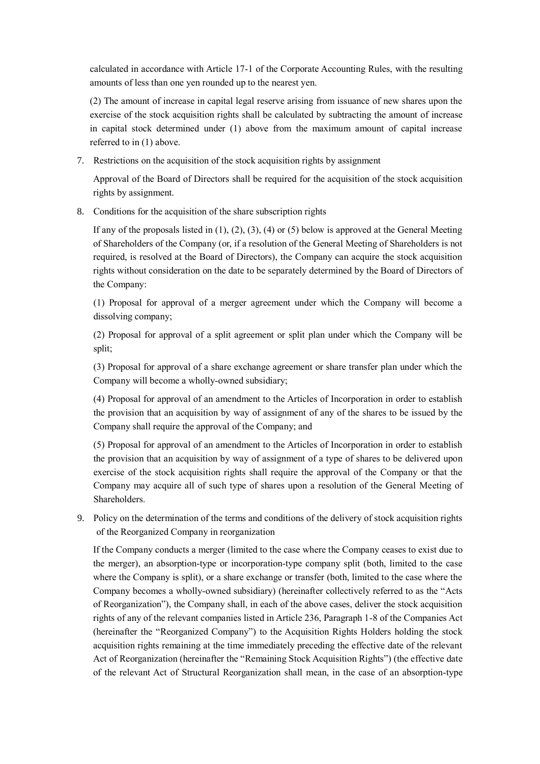calculated in accordance with Article 17-1 of the Corporate Accounting Rules, with the resulting amounts of less than one yen rounded up to the nearest yen.

(2) The amount of increase in capital legal reserve arising from issuance of new shares upon the exercise of the stock acquisition rights shall be calculated by subtracting the amount of increase in capital stock determined under (1) above from the maximum amount of capital increase referred to in (1) above.

7. Restrictions on the acquisition of the stock acquisition rights by assignment

Approval of the Board of Directors shall be required for the acquisition of the stock acquisition rights by assignment.

8. Conditions for the acquisition of the share subscription rights

If any of the proposals listed in  $(1)$ ,  $(2)$ ,  $(3)$ ,  $(4)$  or  $(5)$  below is approved at the General Meeting of Shareholders of the Company (or, if a resolution of the General Meeting of Shareholders is not required, is resolved at the Board of Directors), the Company can acquire the stock acquisition rights without consideration on the date to be separately determined by the Board of Directors of the Company:

(1) Proposal for approval of a merger agreement under which the Company will become a dissolving company;

(2) Proposal for approval of a split agreement or split plan under which the Company will be split;

(3) Proposal for approval of a share exchange agreement or share transfer plan under which the Company will become a wholly-owned subsidiary;

(4) Proposal for approval of an amendment to the Articles of Incorporation in order to establish the provision that an acquisition by way of assignment of any of the shares to be issued by the Company shall require the approval of the Company; and

(5) Proposal for approval of an amendment to the Articles of Incorporation in order to establish the provision that an acquisition by way of assignment of a type of shares to be delivered upon exercise of the stock acquisition rights shall require the approval of the Company or that the Company may acquire all of such type of shares upon a resolution of the General Meeting of Shareholders.

9. Policy on the determination of the terms and conditions of the delivery of stock acquisition rights of the Reorganized Company in reorganization

If the Company conducts a merger (limited to the case where the Company ceases to exist due to the merger), an absorption-type or incorporation-type company split (both, limited to the case where the Company is split), or a share exchange or transfer (both, limited to the case where the Company becomes a wholly-owned subsidiary) (hereinafter collectively referred to as the "Acts of Reorganization"), the Company shall, in each of the above cases, deliver the stock acquisition rights of any of the relevant companies listed in Article 236, Paragraph 1-8 of the Companies Act (hereinafter the "Reorganized Company") to the Acquisition Rights Holders holding the stock acquisition rights remaining at the time immediately preceding the effective date of the relevant Act of Reorganization (hereinafter the "Remaining Stock Acquisition Rights") (the effective date of the relevant Act of Structural Reorganization shall mean, in the case of an absorption-type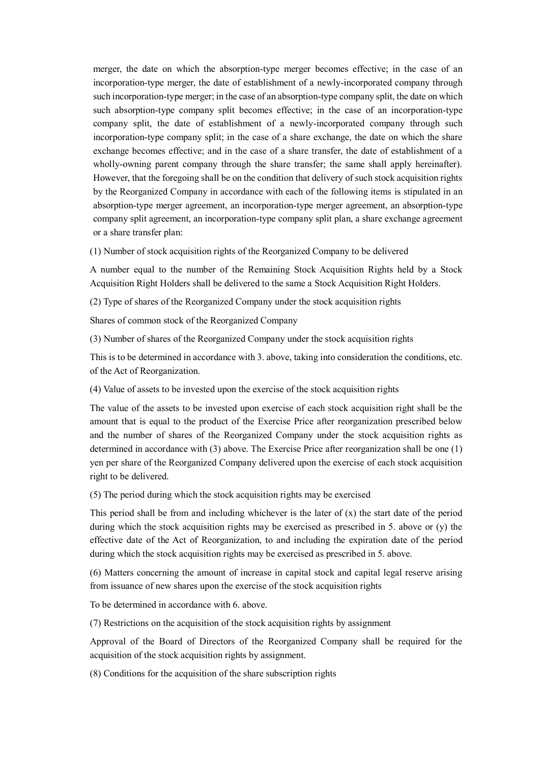merger, the date on which the absorption-type merger becomes effective; in the case of an incorporation-type merger, the date of establishment of a newly-incorporated company through such incorporation-type merger; in the case of an absorption-type company split, the date on which such absorption-type company split becomes effective; in the case of an incorporation-type company split, the date of establishment of a newly-incorporated company through such incorporation-type company split; in the case of a share exchange, the date on which the share exchange becomes effective; and in the case of a share transfer, the date of establishment of a wholly-owning parent company through the share transfer; the same shall apply hereinafter). However, that the foregoing shall be on the condition that delivery of such stock acquisition rights by the Reorganized Company in accordance with each of the following items is stipulated in an absorption-type merger agreement, an incorporation-type merger agreement, an absorption-type company split agreement, an incorporation-type company split plan, a share exchange agreement or a share transfer plan:

(1) Number of stock acquisition rights of the Reorganized Company to be delivered

A number equal to the number of the Remaining Stock Acquisition Rights held by a Stock Acquisition Right Holders shall be delivered to the same a Stock Acquisition Right Holders.

(2) Type of shares of the Reorganized Company under the stock acquisition rights

Shares of common stock of the Reorganized Company

(3) Number of shares of the Reorganized Company under the stock acquisition rights

This is to be determined in accordance with 3. above, taking into consideration the conditions, etc. of the Act of Reorganization.

(4) Value of assets to be invested upon the exercise of the stock acquisition rights

The value of the assets to be invested upon exercise of each stock acquisition right shall be the amount that is equal to the product of the Exercise Price after reorganization prescribed below and the number of shares of the Reorganized Company under the stock acquisition rights as determined in accordance with (3) above. The Exercise Price after reorganization shall be one (1) yen per share of the Reorganized Company delivered upon the exercise of each stock acquisition right to be delivered.

(5) The period during which the stock acquisition rights may be exercised

This period shall be from and including whichever is the later of  $(x)$  the start date of the period during which the stock acquisition rights may be exercised as prescribed in 5. above or (y) the effective date of the Act of Reorganization, to and including the expiration date of the period during which the stock acquisition rights may be exercised as prescribed in 5. above.

(6) Matters concerning the amount of increase in capital stock and capital legal reserve arising from issuance of new shares upon the exercise of the stock acquisition rights

To be determined in accordance with 6. above.

(7) Restrictions on the acquisition of the stock acquisition rights by assignment

Approval of the Board of Directors of the Reorganized Company shall be required for the acquisition of the stock acquisition rights by assignment.

(8) Conditions for the acquisition of the share subscription rights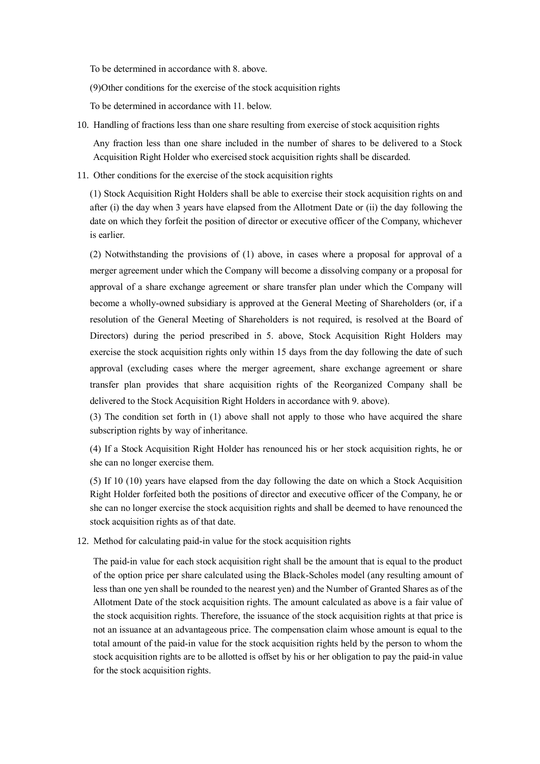To be determined in accordance with 8. above.

(9)Other conditions for the exercise of the stock acquisition rights

To be determined in accordance with 11. below.

10. Handling of fractions less than one share resulting from exercise of stock acquisition rights

Any fraction less than one share included in the number of shares to be delivered to a Stock Acquisition Right Holder who exercised stock acquisition rights shall be discarded.

11. Other conditions for the exercise of the stock acquisition rights

(1) Stock Acquisition Right Holders shall be able to exercise their stock acquisition rights on and after (i) the day when 3 years have elapsed from the Allotment Date or (ii) the day following the date on which they forfeit the position of director or executive officer of the Company, whichever is earlier.

(2) Notwithstanding the provisions of (1) above, in cases where a proposal for approval of a merger agreement under which the Company will become a dissolving company or a proposal for approval of a share exchange agreement or share transfer plan under which the Company will become a wholly-owned subsidiary is approved at the General Meeting of Shareholders (or, if a resolution of the General Meeting of Shareholders is not required, is resolved at the Board of Directors) during the period prescribed in 5. above, Stock Acquisition Right Holders may exercise the stock acquisition rights only within 15 days from the day following the date of such approval (excluding cases where the merger agreement, share exchange agreement or share transfer plan provides that share acquisition rights of the Reorganized Company shall be delivered to the Stock Acquisition Right Holders in accordance with 9. above).

(3) The condition set forth in (1) above shall not apply to those who have acquired the share subscription rights by way of inheritance.

(4) If a Stock Acquisition Right Holder has renounced his or her stock acquisition rights, he or she can no longer exercise them.

(5) If 10 (10) years have elapsed from the day following the date on which a Stock Acquisition Right Holder forfeited both the positions of director and executive officer of the Company, he or she can no longer exercise the stock acquisition rights and shall be deemed to have renounced the stock acquisition rights as of that date.

12. Method for calculating paid-in value for the stock acquisition rights

The paid-in value for each stock acquisition right shall be the amount that is equal to the product of the option price per share calculated using the Black-Scholes model (any resulting amount of less than one yen shall be rounded to the nearest yen) and the Number of Granted Shares as of the Allotment Date of the stock acquisition rights. The amount calculated as above is a fair value of the stock acquisition rights. Therefore, the issuance of the stock acquisition rights at that price is not an issuance at an advantageous price. The compensation claim whose amount is equal to the total amount of the paid-in value for the stock acquisition rights held by the person to whom the stock acquisition rights are to be allotted is offset by his or her obligation to pay the paid-in value for the stock acquisition rights.